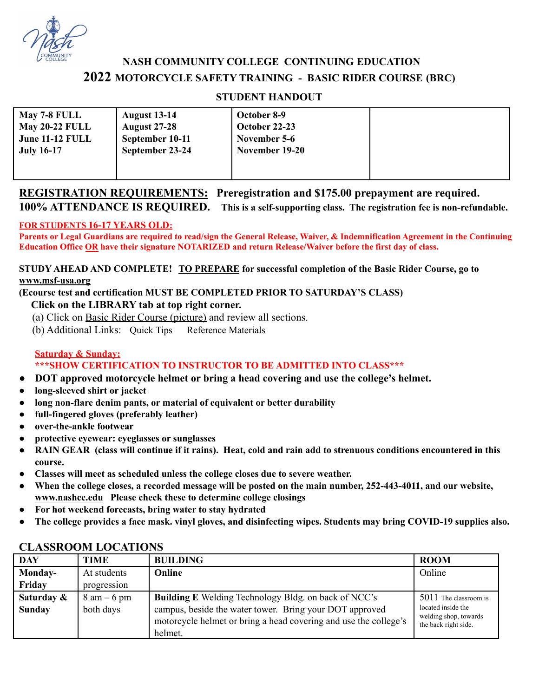

# **NASH COMMUNITY COLLEGE CONTINUING EDUCATION 2022 MOTORCYCLE SAFETY TRAINING - BASIC RIDER COURSE (BRC)**

## **STUDENT HANDOUT**

| May 7-8 FULL          | <b>August 13-14</b> | October 8-9    |  |
|-----------------------|---------------------|----------------|--|
| <b>May 20-22 FULL</b> | <b>August 27-28</b> | October 22-23  |  |
| June 11-12 FULL       | September 10-11     | November 5-6   |  |
| <b>July 16-17</b>     | September 23-24     | November 19-20 |  |
|                       |                     |                |  |

# **REGISTRATION REQUIREMENTS: Preregistration and \$175.00 prepayment are required. 100% ATTENDANCE IS REQUIRED. This is a self-supporting class. The registration fee is non-refundable.**

### **FOR STUDENTS 16-17 YEARS OLD:**

**Parents or Legal Guardians are required to read/sign the General Release, Waiver, & Indemnification Agreement in the Continuing Education Office OR have their signature NOTARIZED and return Release/Waiver before the first day of class.**

### **STUDY AHEAD AND COMPLETE! TO PREPARE for successful completion of the Basic Rider Course, go to [www.msf-usa.org](http://www.msf-usa.org)**

### **(Ecourse test and certification MUST BE COMPLETED PRIOR TO SATURDAY'S CLASS)**

## **Click on the LIBRARY tab at top right corner.**

- (a) Click on Basic Rider Course (picture) and review all sections.
- (b) Additional Links: Quick Tips Reference Materials

### **Saturday & Sunday: \*\*\*SHOW CERTIFICATION TO INSTRUCTOR TO BE ADMITTED INTO CLASS\*\*\***

- **DOT approved motorcycle helmet or bring a head covering and use the college's helmet.**
- **● long-sleeved shirt or jacket**
- **● long non-flare denim pants, or material of equivalent or better durability**
- **● full-fingered gloves (preferably leather)**
- **● over-the-ankle footwear**
- **● protective eyewear: eyeglasses or sunglasses**
- **● RAIN GEAR (class will continue if it rains). Heat, cold and rain add to strenuous conditions encountered in this course.**
- **● Classes will meet as scheduled unless the college closes due to severe weather.**
- When the college closes, a recorded message will be posted on the main number, 252-443-4011, and our website, **[www.nashcc.edu](http://www.nashcc.edu) Please check these to determine college closings**
- **● For hot weekend forecasts, bring water to stay hydrated**
- **● The college provides a face mask. vinyl gloves, and disinfecting wipes. Students may bring COVID-19 supplies also.**

| <b>DAY</b>           | <b>TIME</b>                                | <b>BUILDING</b>                                                                                                                                                                                       | <b>ROOM</b>                                                                                  |
|----------------------|--------------------------------------------|-------------------------------------------------------------------------------------------------------------------------------------------------------------------------------------------------------|----------------------------------------------------------------------------------------------|
| Monday-              | At students                                | Online                                                                                                                                                                                                | Online                                                                                       |
| Friday               | progression                                |                                                                                                                                                                                                       |                                                                                              |
| Saturday &<br>Sunday | $8 \text{ am} - 6 \text{ pm}$<br>both days | <b>Building E</b> Welding Technology Bldg. on back of NCC's<br>campus, beside the water tower. Bring your DOT approved<br>motorcycle helmet or bring a head covering and use the college's<br>helmet. | 5011 The classroom is<br>located inside the<br>welding shop, towards<br>the back right side. |

## **CLASSROOM LOCATIONS**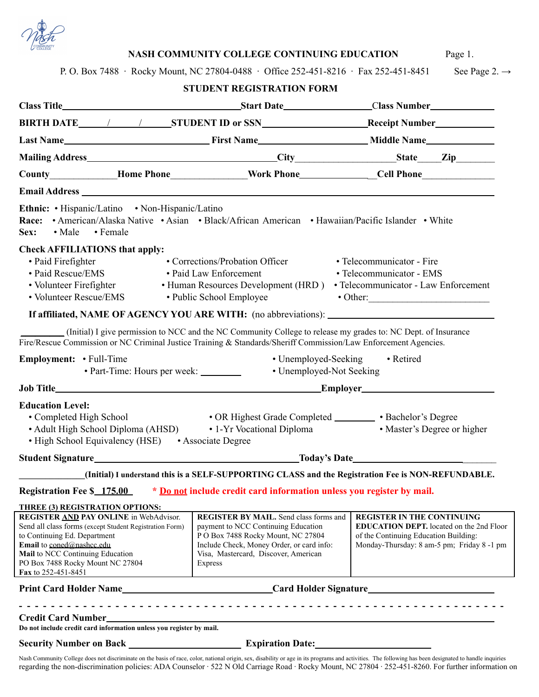

### **NASH COMMUNITY COLLEGE CONTINUING EDUCATION** Page 1.

|                                                                                                                                                                                                                                                                                                  | P. O. Box 7488 · Rocky Mount, NC 27804-0488 · Office 252-451-8216 · Fax 252-451-8451                                                                                                                                       | See Page 2. $\rightarrow$                                                                                                                                            |
|--------------------------------------------------------------------------------------------------------------------------------------------------------------------------------------------------------------------------------------------------------------------------------------------------|----------------------------------------------------------------------------------------------------------------------------------------------------------------------------------------------------------------------------|----------------------------------------------------------------------------------------------------------------------------------------------------------------------|
|                                                                                                                                                                                                                                                                                                  | STUDENT REGISTRATION FORM                                                                                                                                                                                                  |                                                                                                                                                                      |
|                                                                                                                                                                                                                                                                                                  |                                                                                                                                                                                                                            |                                                                                                                                                                      |
|                                                                                                                                                                                                                                                                                                  |                                                                                                                                                                                                                            |                                                                                                                                                                      |
| Last Name <b>Middle Name Intervention Contains Text Name Intervention Contains Text Name Intervention Contains Text Name Intervention Contains Text Name Intervention Contains Text Name Intervention Contains Text Name Interve</b>                                                             |                                                                                                                                                                                                                            |                                                                                                                                                                      |
|                                                                                                                                                                                                                                                                                                  |                                                                                                                                                                                                                            |                                                                                                                                                                      |
| County_____________Home Phone_____________Work Phone_______________Cell Phone_______________________                                                                                                                                                                                             |                                                                                                                                                                                                                            |                                                                                                                                                                      |
|                                                                                                                                                                                                                                                                                                  |                                                                                                                                                                                                                            |                                                                                                                                                                      |
| Ethnic: • Hispanic/Latino • Non-Hispanic/Latino<br>Race: • American/Alaska Native • Asian • Black/African American • Hawaiian/Pacific Islander • White<br>$\bullet$ Male<br>• Female<br>Sex:                                                                                                     |                                                                                                                                                                                                                            |                                                                                                                                                                      |
| <b>Check AFFILIATIONS that apply:</b><br>• Paid Firefighter<br>· Paid Law Enforcement<br>• Paid Rescue/EMS<br>• Volunteer Firefighter<br>• Volunteer Rescue/EMS • Public School Employee                                                                                                         | • Corrections/Probation Officer<br>• Human Resources Development (HRD) • Telecommunicator - Law Enforcement                                                                                                                | • Telecommunicator - Fire<br>• Telecommunicator - EMS<br>$\bullet$ Other:                                                                                            |
| Fire/Rescue Commission or NC Criminal Justice Training & Standards/Sheriff Commission/Law Enforcement Agencies.                                                                                                                                                                                  | (Initial) I give permission to NCC and the NC Community College to release my grades to: NC Dept. of Insurance                                                                                                             |                                                                                                                                                                      |
| <b>Employment:</b> • Full-Time<br>• Part-Time: Hours per week: _________                                                                                                                                                                                                                         | • Unemployed-Seeking<br>• Unemployed-Not Seeking                                                                                                                                                                           | • Retired                                                                                                                                                            |
|                                                                                                                                                                                                                                                                                                  |                                                                                                                                                                                                                            |                                                                                                                                                                      |
| <b>Education Level:</b><br>• Completed High School • OR Highest Grade Completed • Bachelor's Degree<br>• Adult High School Diploma (AHSD)<br>• High School Equivalency (HSE) • Associate Degree                                                                                                  | • 1-Yr Vocational Diploma                                                                                                                                                                                                  | • Master's Degree or higher                                                                                                                                          |
| <b>Student Signature</b>                                                                                                                                                                                                                                                                         | <u> 1989 - Johann Barn, mars eta bainar eta idazlea (</u><br>Today's Date_                                                                                                                                                 | <u> 1980 - Jan Barbara Barbara, president politik (</u>                                                                                                              |
|                                                                                                                                                                                                                                                                                                  | (Initial) I understand this is a SELF-SUPPORTING CLASS and the Registration Fee is NON-REFUNDABLE.                                                                                                                         |                                                                                                                                                                      |
| <b>Registration Fee \$</b> 175.00                                                                                                                                                                                                                                                                | * Do not include credit card information unless you register by mail.                                                                                                                                                      |                                                                                                                                                                      |
| THREE (3) REGISTRATION OPTIONS:<br>REGISTER AND PAY ONLINE in WebAdvisor.<br>Send all class forms (except Student Registration Form)<br>to Continuing Ed. Department<br>Email to coned@nashcc.edu<br>Mail to NCC Continuing Education<br>PO Box 7488 Rocky Mount NC 27804<br>Fax to 252-451-8451 | <b>REGISTER BY MAIL.</b> Send class forms and<br>payment to NCC Continuing Education<br>P O Box 7488 Rocky Mount, NC 27804<br>Include Check, Money Order, or card info:<br>Visa, Mastercard, Discover, American<br>Express | REGISTER IN THE CONTINUING<br><b>EDUCATION DEPT.</b> located on the 2nd Floor<br>of the Continuing Education Building:<br>Monday-Thursday: 8 am-5 pm; Friday 8 -1 pm |
| Print Card Holder Name________________________________Card Holder Signature_________________________                                                                                                                                                                                             |                                                                                                                                                                                                                            |                                                                                                                                                                      |
| Do not include credit card information unless you register by mail.                                                                                                                                                                                                                              |                                                                                                                                                                                                                            |                                                                                                                                                                      |
|                                                                                                                                                                                                                                                                                                  |                                                                                                                                                                                                                            |                                                                                                                                                                      |

Nash Community College does not discriminate on the basis of race, color, national origin, sex, disability or age in its programs and activities. The following has been designated to handle inquiries regarding the non-discrimination policies: ADA Counselor ∙ 522 N Old Carriage Road ∙ Rocky Mount, NC 27804 ∙ 252-451-8260. For further information on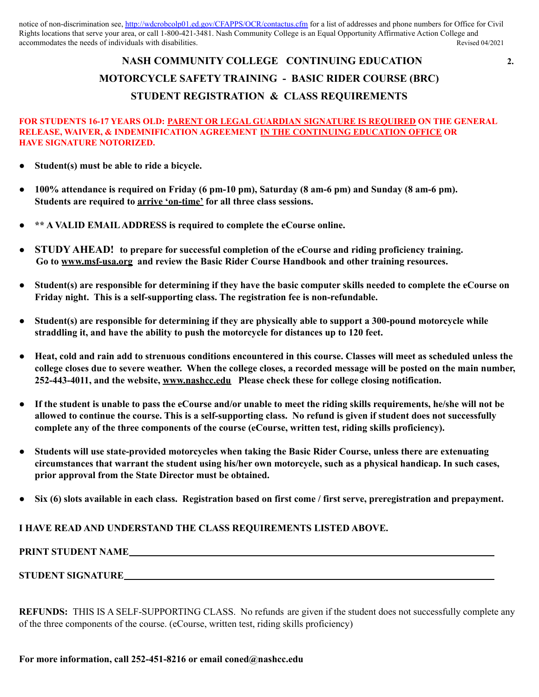notice of non-discrimination see, <http://wdcrobcolp01.ed.gov/CFAPPS/OCR/contactus.cfm> for a list of addresses and phone numbers for Office for Civil Rights locations that serve your area, or call 1-800-421-3481. Nash Community College is an Equal Opportunity Affirmative Action College and accommodates the needs of individuals with disabilities. Revised 04/2021

# **NASH COMMUNITY COLLEGE CONTINUING EDUCATION 2. MOTORCYCLE SAFETY TRAINING - BASIC RIDER COURSE (BRC) STUDENT REGISTRATION & CLASS REQUIREMENTS**

### **FOR STUDENTS 16-17 YEARS OLD: PARENT OR LEGAL GUARDIAN SIGNATURE IS REQUIRED ON THE GENERAL RELEASE, WAIVER, & INDEMNIFICATION AGREEMENT IN THE CONTINUING EDUCATION OFFICE OR HAVE SIGNATURE NOTORIZED.**

- **● Student(s) must be able to ride a bicycle.**
- 100% attendance is required on Friday (6 pm-10 pm), Saturday (8 am-6 pm) and Sunday (8 am-6 pm). **Students are required to arrive 'on-time' for all three class sessions.**
- **● \*\* A VALID EMAILADDRESS is required to complete the eCourse online.**
- **● STUDY AHEAD! to prepare for successful completion of the eCourse and riding proficiency training. Go to [www.msf-usa.org](http://www.msf-usa.org) and review the Basic Rider Course Handbook and other training resources.**
- Student(s) are responsible for determining if they have the basic computer skills needed to complete the eCourse on **Friday night. This is a self-supporting class. The registration fee is non-refundable.**
- Student(s) are responsible for determining if they are physically able to support a 300-pound motorcycle while **straddling it, and have the ability to push the motorcycle for distances up to 120 feet.**
- Heat, cold and rain add to strenuous conditions encountered in this course. Classes will meet as scheduled unless the college closes due to severe weather. When the college closes, a recorded message will be posted on the main number, **252-443-4011, and the website, [www.nashcc.edu](http://www.nashcc.edu) Please check these for college closing notification.**
- If the student is unable to pass the eCourse and/or unable to meet the riding skills requirements, he/she will not be allowed to continue the course. This is a self-supporting class. No refund is given if student does not successfully **complete any of the three components of the course (eCourse, written test, riding skills proficiency).**
- **● Students will use state-provided motorcycles when taking the Basic Rider Course, unless there are extenuating** circumstances that warrant the student using his/her own motorcycle, such as a physical handicap. In such cases, **prior approval from the State Director must be obtained.**
- Six (6) slots available in each class. Registration based on first come / first serve, preregistration and prepayment.

**I HAVE READ AND UNDERSTAND THE CLASS REQUIREMENTS LISTED ABOVE.**

| PRINT STUDENT NAME       |  |
|--------------------------|--|
|                          |  |
| <b>STUDENT SIGNATURE</b> |  |

**REFUNDS:** THIS IS A SELF-SUPPORTING CLASS. No refunds are given if the student does not successfully complete any of the three components of the course. (eCourse, written test, riding skills proficiency)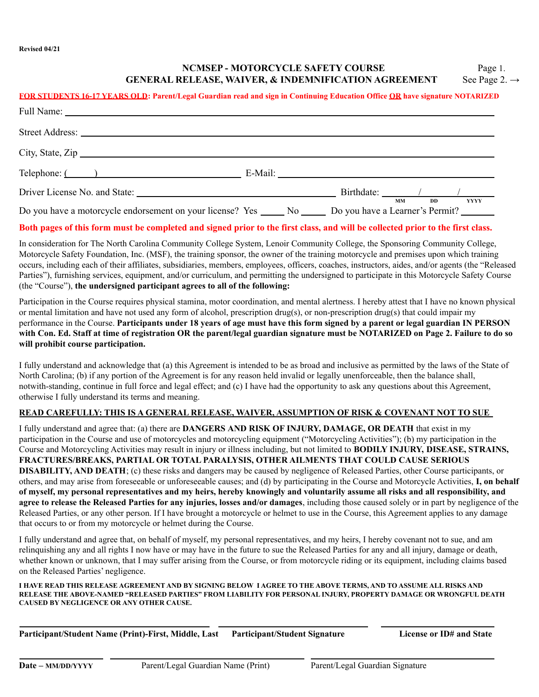### **NCMSEP - MOTORCYCLE SAFETY COURSE** Page 1. **GENERAL RELEASE, WAIVER, & INDEMNIFICATION AGREEMENT** See Page 2. →

#### **FOR STUDENTS 16-17 YEARS OLD: Parent/Legal Guardian read and sign in Continuing Education Office OR have signature NOTARIZED**

| $\text{Telephone:} \quad \text{(} \quad \text{)}$                                                                                                                                                                              |  |                  |    |     |             |
|--------------------------------------------------------------------------------------------------------------------------------------------------------------------------------------------------------------------------------|--|------------------|----|-----|-------------|
| Driver License No. and State: University of the State of the State of the State of the State of the State of the State of the State of the State of the State of the State of the State of the State of the State of the State |  | Birthdate: / / / |    |     |             |
| Do you have a motorcycle endorsement on your license? Yes ______ No ______ Do you have a Learner's Permit? ______                                                                                                              |  |                  | MМ | DD. | <b>YYYY</b> |

### **Both pages of this form must be completed and signed prior to the first class, and will be collected prior to the first class.**

In consideration for The North Carolina Community College System, Lenoir Community College, the Sponsoring Community College, Motorcycle Safety Foundation, Inc. (MSF), the training sponsor, the owner of the training motorcycle and premises upon which training occurs, including each of their affiliates, subsidiaries, members, employees, officers, coaches, instructors, aides, and/or agents (the "Released Parties"), furnishing services, equipment, and/or curriculum, and permitting the undersigned to participate in this Motorcycle Safety Course (the "Course"), **the undersigned participant agrees to all of the following:**

Participation in the Course requires physical stamina, motor coordination, and mental alertness. I hereby attest that I have no known physical or mental limitation and have not used any form of alcohol, prescription drug(s), or non-prescription drug(s) that could impair my performance in the Course. **Participants under 18 years of age must have this form signed by a parent or legal guardian IN PERSON with Con. Ed. Staff at time of registration OR the parent/legal guardian signature must be NOTARIZED on Page 2. Failure to do so will prohibit course participation.**

I fully understand and acknowledge that (a) this Agreement is intended to be as broad and inclusive as permitted by the laws of the State of North Carolina; (b) if any portion of the Agreement is for any reason held invalid or legally unenforceable, then the balance shall, notwith-standing, continue in full force and legal effect; and (c) I have had the opportunity to ask any questions about this Agreement, otherwise I fully understand its terms and meaning.

### **READ CAREFULLY: THIS IS A GENERAL RELEASE, WAIVER, ASSUMPTION OF RISK & COVENANT NOT TO SUE**

I fully understand and agree that: (a) there are **DANGERS AND RISK OF INJURY, DAMAGE, OR DEATH** that exist in my participation in the Course and use of motorcycles and motorcycling equipment ("Motorcycling Activities"); (b) my participation in the Course and Motorcycling Activities may result in injury or illness including, but not limited to **BODILY INJURY, DISEASE, STRAINS, FRACTURES/BREAKS, PARTIAL OR TOTAL PARALYSIS, OTHER AILMENTS THAT COULD CAUSE SERIOUS DISABILITY, AND DEATH**; (c) these risks and dangers may be caused by negligence of Released Parties, other Course participants, or others, and may arise from foreseeable or unforeseeable causes; and (d) by participating in the Course and Motorcycle Activities, **I, on behalf of myself, my personal representatives and my heirs, hereby knowingly and voluntarily assume all risks and all responsibility, and agree to release the Released Parties for any injuries, losses and/or damages**, including those caused solely or in part by negligence of the Released Parties, or any other person. If I have brought a motorcycle or helmet to use in the Course, this Agreement applies to any damage that occurs to or from my motorcycle or helmet during the Course.

I fully understand and agree that, on behalf of myself, my personal representatives, and my heirs, I hereby covenant not to sue, and am relinquishing any and all rights I now have or may have in the future to sue the Released Parties for any and all injury, damage or death, whether known or unknown, that I may suffer arising from the Course, or from motorcycle riding or its equipment, including claims based on the Released Parties' negligence.

**I HAVE READ THIS RELEASE AGREEMENT AND BY SIGNING BELOW I AGREE TO THE ABOVE TERMS, AND TO ASSUME ALL RISKS AND RELEASE THE ABOVE-NAMED "RELEASED PARTIES" FROM LIABILITY FOR PERSONAL INJURY, PROPERTY DAMAGE OR WRONGFUL DEATH CAUSED BY NEGLIGENCE OR ANY OTHER CAUSE.**

**Participant/Student Name (Print)-First, Middle, Last Participant/Student Signature License or ID# and State**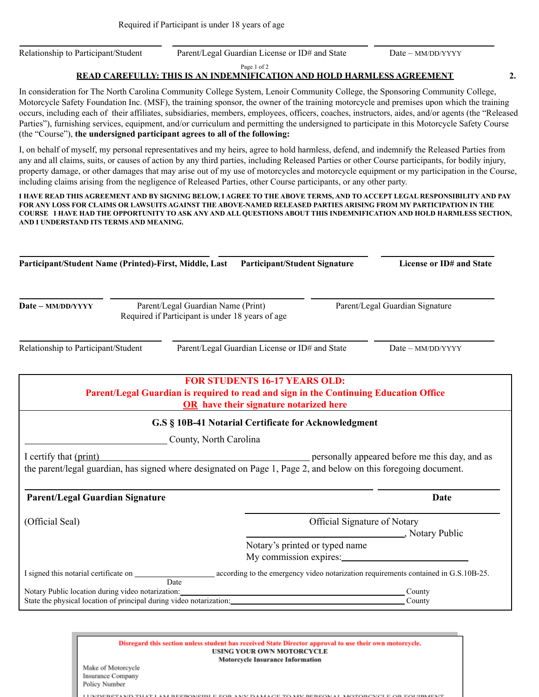Relationship to Participant/Student Parent/Legal Guardian License or ID# and State Date – MM/DD/YYYY

Page 1 of 2

### **READ CAREFULLY: THIS IS AN INDEMNIFICATION AND HOLD HARMLESS AGREEMENT 2.**

In consideration for The North Carolina Community College System, Lenoir Community College, the Sponsoring Community College, Motorcycle Safety Foundation Inc. (MSF), the training sponsor, the owner of the training motorcycle and premises upon which the training occurs, including each of their affiliates, subsidiaries, members, employees, officers, coaches, instructors, aides, and/or agents (the "Released Parties"), furnishing services, equipment, and/or curriculum and permitting the undersigned to participate in this Motorcycle Safety Course (the "Course"), **the undersigned participant agrees to all of the following:**

I, on behalf of myself, my personal representatives and my heirs, agree to hold harmless, defend, and indemnify the Released Parties from any and all claims, suits, or causes of action by any third parties, including Released Parties or other Course participants, for bodily injury, property damage, or other damages that may arise out of my use of motorcycles and motorcycle equipment or my participation in the Course, including claims arising from the negligence of Released Parties, other Course participants, or any other party.

I HAVE READ THIS AGREEMENT AND BY SIGNING BELOW, I AGREE TO THE ABOVE TERMS, AND TO ACCEPT LEGAL RESPONSIBILITY AND PAY FOR ANY LOSS FOR CLAIMS OR LAWSUITS AGAINST THE ABOVE-NAMED RELEASED PARTIES ARISING FROM MY PARTICIPATION IN THE COURSE I HAVE HAD THE OPPORTUNITY TO ASK ANY AND ALL QUESTIONS ABOUT THIS INDEMNIFICATION AND HOLD HARMLESS SECTION, **AND I UNDERSTAND ITS TERMS AND MEANING.**

| Participant/Student Name (Printed)-First, Middle, Last<br><b>Participant/Student Signature</b>                           |                                                                                        |                                                                                       | License or ID# and State                                                                      |                              |                                                                                                                 |  |  |
|--------------------------------------------------------------------------------------------------------------------------|----------------------------------------------------------------------------------------|---------------------------------------------------------------------------------------|-----------------------------------------------------------------------------------------------|------------------------------|-----------------------------------------------------------------------------------------------------------------|--|--|
| Date - MM/DD/YYYY                                                                                                        | Parent/Legal Guardian Name (Print)<br>Required if Participant is under 18 years of age |                                                                                       |                                                                                               |                              | Parent/Legal Guardian Signature                                                                                 |  |  |
| Relationship to Participant/Student                                                                                      |                                                                                        |                                                                                       | Parent/Legal Guardian License or ID# and State                                                |                              | $Date - MM / DD / Y Y Y Y$                                                                                      |  |  |
|                                                                                                                          |                                                                                        | Parent/Legal Guardian is required to read and sign in the Continuing Education Office | <b>FOR STUDENTS 16-17 YEARS OLD:</b><br>OR have their signature notarized here                |                              |                                                                                                                 |  |  |
|                                                                                                                          |                                                                                        | G.S § 10B-41 Notarial Certificate for Acknowledgment                                  |                                                                                               |                              |                                                                                                                 |  |  |
|                                                                                                                          |                                                                                        | County, North Carolina                                                                |                                                                                               |                              |                                                                                                                 |  |  |
| I certify that (print)                                                                                                   |                                                                                        |                                                                                       |                                                                                               |                              | personally appeared before me this day, and as                                                                  |  |  |
|                                                                                                                          |                                                                                        |                                                                                       |                                                                                               |                              | the parent/legal guardian, has signed where designated on Page 1, Page 2, and below on this foregoing document. |  |  |
| <b>Parent/Legal Guardian Signature</b>                                                                                   |                                                                                        |                                                                                       |                                                                                               |                              | Date                                                                                                            |  |  |
| (Official Seal)                                                                                                          |                                                                                        |                                                                                       |                                                                                               | Official Signature of Notary |                                                                                                                 |  |  |
|                                                                                                                          |                                                                                        |                                                                                       | Notary's printed or typed name                                                                |                              | Notary Public                                                                                                   |  |  |
| I signed this notarial certificate on                                                                                    |                                                                                        |                                                                                       |                                                                                               |                              | according to the emergency video notarization requirements contained in G.S.10B-25.                             |  |  |
| Notary Public location during video notarization:<br>State the physical location of principal during video notarization: |                                                                                        | Date                                                                                  | and the control of the control of the control of the control of the control of the control of |                              | County<br>County                                                                                                |  |  |

Disregard this section unless student has received State Director approval to use their own motorcycle. **USING YOUR OWN MOTORCYCLE Motorcycle Insurance Information** Make of Motorcycle Insurance Company Policy Number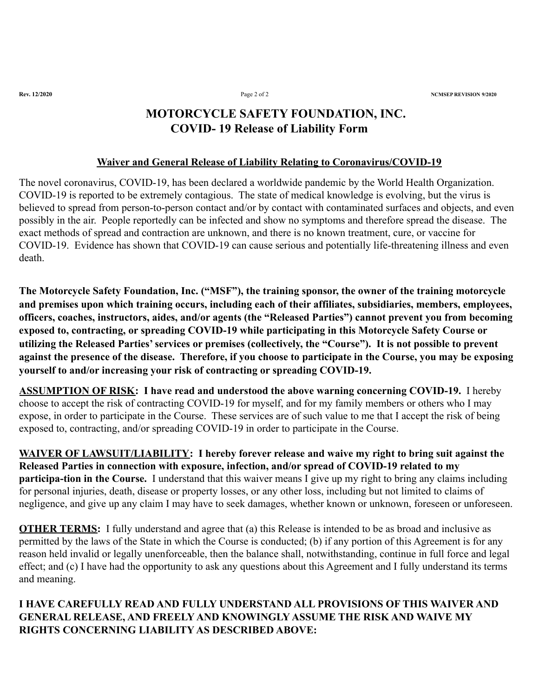# **MOTORCYCLE SAFETY FOUNDATION, INC. COVID- 19 Release of Liability Form**

## **Waiver and General Release of Liability Relating to Coronavirus/COVID-19**

The novel coronavirus, COVID-19, has been declared a worldwide pandemic by the World Health Organization. COVID-19 is reported to be extremely contagious. The state of medical knowledge is evolving, but the virus is believed to spread from person-to-person contact and/or by contact with contaminated surfaces and objects, and even possibly in the air. People reportedly can be infected and show no symptoms and therefore spread the disease. The exact methods of spread and contraction are unknown, and there is no known treatment, cure, or vaccine for COVID-19. Evidence has shown that COVID-19 can cause serious and potentially life-threatening illness and even death.

**The Motorcycle Safety Foundation, Inc. ("MSF"), the training sponsor, the owner of the training motorcycle and premises upon which training occurs, including each of their affiliates, subsidiaries, members, employees, officers, coaches, instructors, aides, and/or agents (the "Released Parties") cannot prevent you from becoming exposed to, contracting, or spreading COVID-19 while participating in this Motorcycle Safety Course or utilizing the Released Parties' services or premises (collectively, the "Course"). It is not possible to prevent against the presence of the disease. Therefore, if you choose to participate in the Course, you may be exposing yourself to and/or increasing your risk of contracting or spreading COVID-19.**

**ASSUMPTION OF RISK: I have read and understood the above warning concerning COVID-19.** I hereby choose to accept the risk of contracting COVID-19 for myself, and for my family members or others who I may expose, in order to participate in the Course. These services are of such value to me that I accept the risk of being exposed to, contracting, and/or spreading COVID-19 in order to participate in the Course.

**WAIVER OF LAWSUIT/LIABILITY: I hereby forever release and waive my right to bring suit against the Released Parties in connection with exposure, infection, and/or spread of COVID-19 related to my participa-tion in the Course.** I understand that this waiver means I give up my right to bring any claims including for personal injuries, death, disease or property losses, or any other loss, including but not limited to claims of negligence, and give up any claim I may have to seek damages, whether known or unknown, foreseen or unforeseen.

**OTHER TERMS:** I fully understand and agree that (a) this Release is intended to be as broad and inclusive as permitted by the laws of the State in which the Course is conducted; (b) if any portion of this Agreement is for any reason held invalid or legally unenforceable, then the balance shall, notwithstanding, continue in full force and legal effect; and (c) I have had the opportunity to ask any questions about this Agreement and I fully understand its terms and meaning.

**I HAVE CAREFULLY READ AND FULLY UNDERSTAND ALL PROVISIONS OF THIS WAIVER AND GENERAL RELEASE, AND FREELY AND KNOWINGLY ASSUME THE RISK AND WAIVE MY RIGHTS CONCERNING LIABILITY AS DESCRIBED ABOVE:**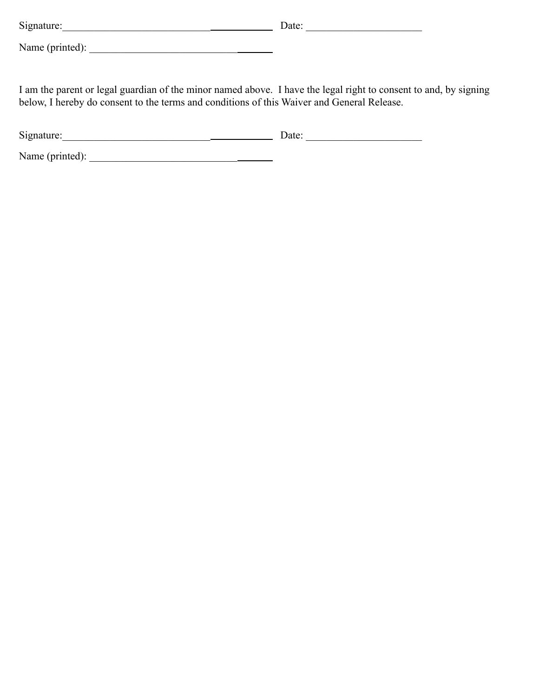| Signature:      | Date: |
|-----------------|-------|
| Name (printed): |       |

I am the parent or legal guardian of the minor named above. I have the legal right to consent to and, by signing below, I hereby do consent to the terms and conditions of this Waiver and General Release.

| Signature:      | Date: |  |
|-----------------|-------|--|
| Name (printed): |       |  |